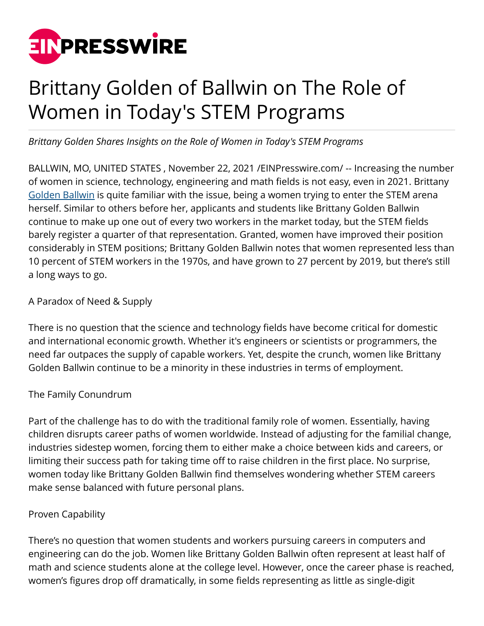

## Brittany Golden of Ballwin on The Role of Women in Today's STEM Programs

*Brittany Golden Shares Insights on the Role of Women in Today's STEM Programs* 

BALLWIN, MO, UNITED STATES , November 22, 2021 /[EINPresswire.com/](http://www.einpresswire.com) -- Increasing the number of women in science, technology, engineering and math fields is not easy, even in 2021. Brittany [Golden Ballwin](https://brittanygoldenballwin.medium.com/) is quite familiar with the issue, being a women trying to enter the STEM arena herself. Similar to others before her, applicants and students like Brittany Golden Ballwin continue to make up one out of every two workers in the market today, but the STEM fields barely register a quarter of that representation. Granted, women have improved their position considerably in STEM positions; Brittany Golden Ballwin notes that women represented less than 10 percent of STEM workers in the 1970s, and have grown to 27 percent by 2019, but there's still a long ways to go.

A Paradox of Need & Supply

There is no question that the science and technology fields have become critical for domestic and international economic growth. Whether it's engineers or scientists or programmers, the need far outpaces the supply of capable workers. Yet, despite the crunch, women like Brittany Golden Ballwin continue to be a minority in these industries in terms of employment.

## The Family Conundrum

Part of the challenge has to do with the traditional family role of women. Essentially, having children disrupts career paths of women worldwide. Instead of adjusting for the familial change, industries sidestep women, forcing them to either make a choice between kids and careers, or limiting their success path for taking time off to raise children in the first place. No surprise, women today like Brittany Golden Ballwin find themselves wondering whether STEM careers make sense balanced with future personal plans.

## Proven Capability

There's no question that women students and workers pursuing careers in computers and engineering can do the job. Women like Brittany Golden Ballwin often represent at least half of math and science students alone at the college level. However, once the career phase is reached, women's figures drop off dramatically, in some fields representing as little as single-digit